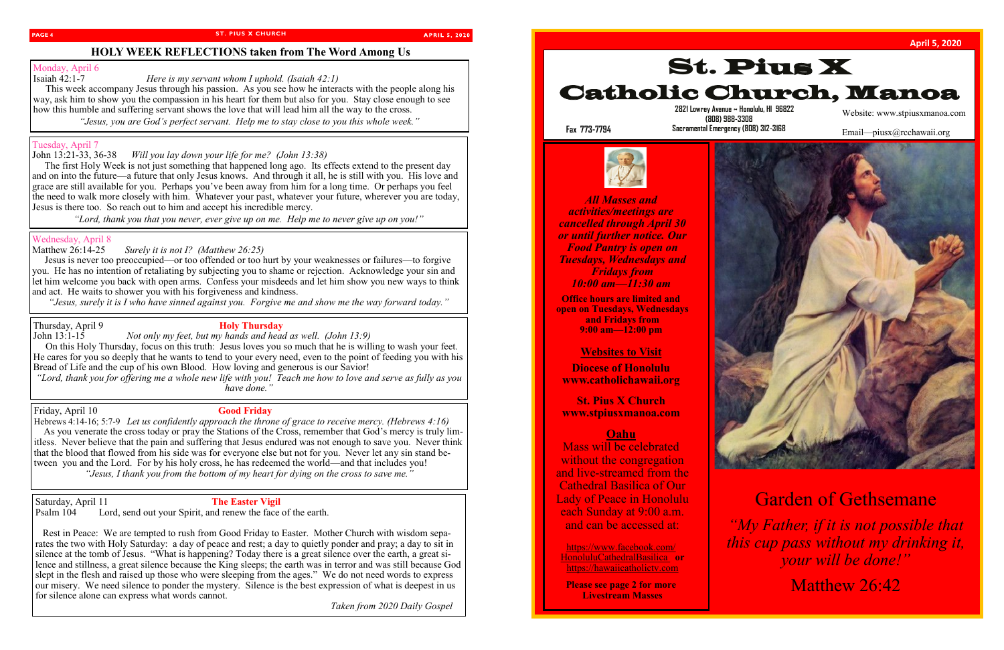#### **PAGE 4 ST. PIUS X CHURCH** PAGE 5

### **APRIL 5, 2020**

# **HOLY WEEK REFLECTIONS taken from The Word Among Us**

# Monday, April 6<br>Isaiah 42:1-7

*Here is my servant whom I uphold. (Isaiah 42:1)* 

 This week accompany Jesus through his passion. As you see how he interacts with the people along his way, ask him to show you the compassion in his heart for them but also for you. Stay close enough to see how this humble and suffering servant shows the love that will lead him all the way to the cross.

*"Jesus, you are God's perfect servant. Help me to stay close to you this whole week."*

# Tuesday, April 7

The first Holy Week is not just something that happened long ago. Its effects extend to the present day and on into the future—a future that only Jesus knows. And through it all, he is still with you. His love and grace are still available for you. Perhaps you've been away from him for a long time. Or perhaps you feel the need to walk more closely with him. Whatever your past, whatever your future, wherever you are today, Jesus is there too. So reach out to him and accept his incredible mercy.

John 13:21-33, 36-38 *Will you lay down your life for me? (John 13:38)*

Jesus is never too preoccupied—or too offended or too hurt by your weaknesses or failures—to forgive you. He has no intention of retaliating by subjecting you to shame or rejection. Acknowledge your sin and let him welcome you back with open arms. Confess your misdeeds and let him show you new ways to think and act. He waits to shower you with his forgiveness and kindness.

*"Lord, thank you that you never, ever give up on me. Help me to never give up on you!"*

# Wednesday, April 8

Matthew 26:14-25 *Surely it is not I? (Matthew 26:25)*

*"Jesus, surely it is I who have sinned against you. Forgive me and show me the way forward today."*

# Thursday, April 9 **Holy Thursday**

John 13:1-15 *Not only my feet, but my hands and head as well. (John 13:9)* On this Holy Thursday, focus on this truth: Jesus loves you so much that he is willing to wash your feet. He cares for you so deeply that he wants to tend to your every need, even to the point of feeding you with his Bread of Life and the cup of his own Blood. How loving and generous is our Savior!

*"Lord, thank you for offering me a whole new life with you! Teach me how to love and serve as fully as you have done."*

#### Friday, April 10 **Good Friday**

Hebrews 4:14-16; 5:7-9 *Let us confidently approach the throne of grace to receive mercy. (Hebrews 4:16)* As you venerate the cross today or pray the Stations of the Cross, remember that God's mercy is truly limitless. Never believe that the pain and suffering that Jesus endured was not enough to save you. Never think that the blood that flowed from his side was for everyone else but not for you. Never let any sin stand between you and the Lord. For by his holy cross, he has redeemed the world—and that includes you! *"Jesus, I thank you from the bottom of my heart for dying on the cross to save me."*

Saturday, April 11 **The Easter Vigil**<br>Psalm 104 Lord, send out vour Spirit, and renew the face Lord, send out your Spirit, and renew the face of the earth.

 Rest in Peace: We are tempted to rush from Good Friday to Easter. Mother Church with wisdom separates the two with Holy Saturday: a day of peace and rest; a day to quietly ponder and pray; a day to sit in silence at the tomb of Jesus. "What is happening? Today there is a great silence over the earth, a great silence and stillness, a great silence because the King sleeps; the earth was in terror and was still because God slept in the flesh and raised up those who were sleeping from the ages." We do not need words to express our misery. We need silence to ponder the mystery. Silence is the best expression of what is deepest in us for silence alone can express what words cannot.

*Taken from 2020 Daily Gospel* 



 **2821 Lowrey Avenue ~ Honolulu, HI 96822** 

 **(808) 988-3308 Sacramental Emergency (808) 312-3168**



*All Masses and activities/meetings are cancelled through April 30 or until further notice. Our Food Pantry is open on Tuesdays, Wednesdays and Fridays from 10:00 am—11:30 am*

**Office hours are limited and open on Tuesdays, Wednesdays and Fridays from 9:00 am—12:00 pm**

## **Websites to Visit**

**Diocese of Honolulu www.catholichawaii.org**

**St. Pius X Church www.stpiusxmanoa.com**

### **Oahu**

Mass will be celebrated without the congregation and live-streamed from the Cathedral Basilica of Our Lady of Peace in Honolulu each Sunday at 9:00 a.m. and can be accessed at:

https://www.facebook.com/ HonoluluCathedralBasilica **or** https://hawaiicatholictv.com

**Please see page 2 for more Livestream Masses**

**Fax 773-7794**

Website: www.stpiusxmanoa.com

Email—piusx@rcchawaii.org



# Garden of Gethsemane

*"My Father, if it is not possible that this cup pass without my drinking it, your will be done!"*

Matthew 26:42